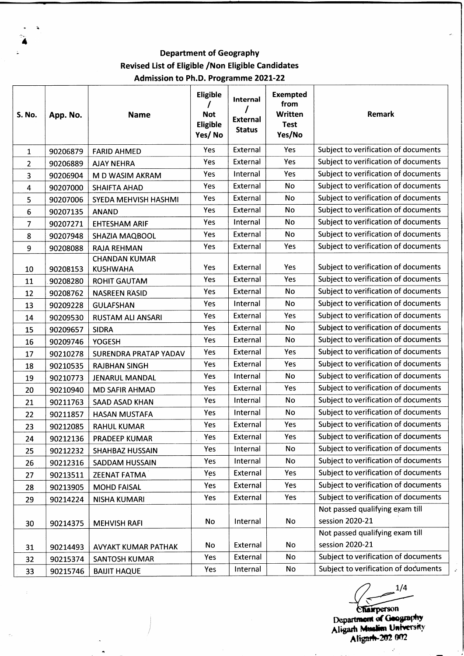**Department of Geography Revised List of Eligible /Non Eligible Candidates Admission to Ph.D. Programme 2021-22**

| S. No. | App. No. | <b>Name</b>                             | <b>Eligible</b><br><b>Not</b><br>Eligible<br>Yes/No | Internal<br><b>External</b><br><b>Status</b> | <b>Exempted</b><br>from<br><b>Written</b><br><b>Test</b><br>Yes/No | Remark                               |
|--------|----------|-----------------------------------------|-----------------------------------------------------|----------------------------------------------|--------------------------------------------------------------------|--------------------------------------|
| 1      | 90206879 | <b>FARID AHMED</b>                      | Yes                                                 | External                                     | Yes                                                                | Subject to verification of documents |
| 2      | 90206889 | <b>AJAY NEHRA</b>                       | Yes                                                 | External                                     | Yes                                                                | Subject to verification of documents |
| 3      | 90206904 | M D WASIM AKRAM                         | Yes                                                 | Internal                                     | Yes                                                                | Subject to verification of documents |
| 4      | 90207000 | <b>SHAIFTA AHAD</b>                     | Yes                                                 | External                                     | No                                                                 | Subject to verification of documents |
| 5      | 90207006 | SYEDA MEHVISH HASHMI                    | Yes                                                 | External                                     | No                                                                 | Subject to verification of documents |
| 6      | 90207135 | <b>ANAND</b>                            | Yes                                                 | External                                     | No                                                                 | Subject to verification of documents |
| 7      | 90207271 | <b>EHTESHAM ARIF</b>                    | Yes                                                 | Internal                                     | No                                                                 | Subject to verification of documents |
| 8      | 90207948 | <b>SHAZIA MAQBOOL</b>                   | Yes                                                 | External                                     | No                                                                 | Subject to verification of documents |
| 9      | 90208088 | <b>RAJA REHMAN</b>                      | Yes                                                 | External                                     | Yes                                                                | Subject to verification of documents |
| 10     | 90208153 | <b>CHANDAN KUMAR</b><br><b>KUSHWAHA</b> | Yes                                                 | External                                     | Yes                                                                | Subject to verification of documents |
| 11     | 90208280 | <b>ROHIT GAUTAM</b>                     | Yes                                                 | External                                     | Yes                                                                | Subject to verification of documents |
| 12     | 90208762 | <b>NASREEN RASID</b>                    | Yes                                                 | External                                     | No                                                                 | Subject to verification of documents |
| 13     | 90209228 | <b>GULAFSHAN</b>                        | Yes                                                 | Internal                                     | No                                                                 | Subject to verification of documents |
| 14     | 90209530 | <b>RUSTAM ALI ANSARI</b>                | Yes                                                 | External                                     | Yes                                                                | Subject to verification of documents |
| 15     | 90209657 | <b>SIDRA</b>                            | Yes                                                 | External                                     | <b>No</b>                                                          | Subject to verification of documents |
| 16     | 90209746 | <b>YOGESH</b>                           | Yes                                                 | External                                     | No                                                                 | Subject to verification of documents |
| 17     | 90210278 | SURENDRA PRATAP YADAV                   | Yes                                                 | External                                     | Yes                                                                | Subject to verification of documents |
| 18     | 90210535 | <b>RAJBHAN SINGH</b>                    | Yes                                                 | External                                     | Yes                                                                | Subject to verification of documents |
| 19     | 90210773 | <b>JENARUL MANDAL</b>                   | Yes                                                 | Internal                                     | No                                                                 | Subject to verification of documents |
| 20     | 90210940 | <b>MD SAFIR AHMAD</b>                   | Yes                                                 | External                                     | Yes                                                                | Subject to verification of documents |
| 21     | 90211763 | <b>SAAD ASAD KHAN</b>                   | Yes                                                 | Internal                                     | No                                                                 | Subject to verification of documents |
| 22     | 90211857 | <b>HASAN MUSTAFA</b>                    | Yes                                                 | Internal                                     | No                                                                 | Subject to verification of documents |
| 23     | 90212085 | <b>RAHUL KUMAR</b>                      | Yes                                                 | External                                     | Yes                                                                | Subject to verification of documents |
| 24     | 90212136 | PRADEEP KUMAR                           | Yes                                                 | External                                     | Yes                                                                | Subject to verification of documents |
| 25     | 90212232 | <b>SHAHBAZ HUSSAIN</b>                  | Yes                                                 | Internal                                     | No                                                                 | Subject to verification of documents |
| 26     | 90212316 | <b>SADDAM HUSSAIN</b>                   | Yes                                                 | Internal                                     | No                                                                 | Subject to verification of documents |
| 27     | 90213511 | <b>ZEENAT FATMA</b>                     | Yes                                                 | External                                     | Yes                                                                | Subject to verification of documents |
| 28     | 90213905 | <b>MOHD FAISAL</b>                      | Yes                                                 | External                                     | Yes                                                                | Subject to verification of documents |
| 29     | 90214224 | <b>NISHA KUMARI</b>                     | Yes                                                 | External                                     | Yes                                                                | Subject to verification of documents |
|        |          |                                         |                                                     |                                              |                                                                    | Not passed qualifying exam till      |
| 30     | 90214375 | <b>MEHVISH RAFI</b>                     | No                                                  | Internal                                     | <b>No</b>                                                          | session 2020-21                      |
|        |          |                                         |                                                     |                                              |                                                                    | Not passed qualifying exam till      |
| 31     | 90214493 | AVYAKT KUMAR PATHAK                     | No                                                  | External                                     | No                                                                 | session 2020-21                      |
| 32     | 90215374 | <b>SANTOSH KUMAR</b>                    | Yes                                                 | External                                     | No                                                                 | Subject to verification of documents |
| 33     | 90215746 | <b>BAIJIT HAQUE</b>                     | Yes                                                 | Internal                                     | No                                                                 | Subject to verification of documents |

 $1/4$ 

 $\overline{\phantom{a}}$ 

J.

Department of Geography Aligarh Muslim University Aligarh-202 002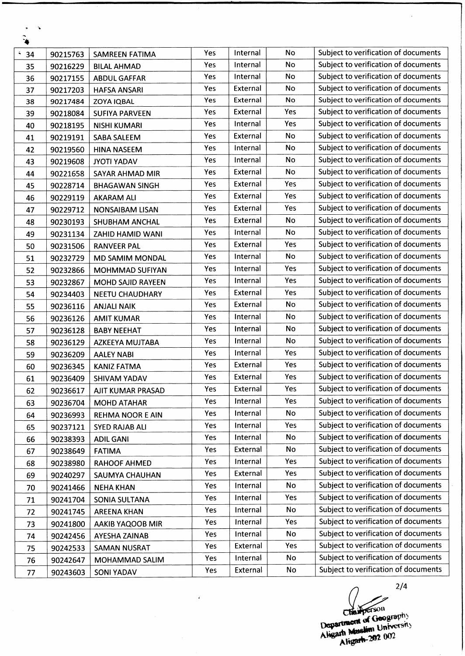| $\bullet$ |          |                          |     |          |           |                                      |
|-----------|----------|--------------------------|-----|----------|-----------|--------------------------------------|
| 4<br>34   | 90215763 | <b>SAMREEN FATIMA</b>    | Yes | Internal | No        | Subject to verification of documents |
| 35        | 90216229 | <b>BILAL AHMAD</b>       | Yes | Internal | No        | Subject to verification of documents |
| 36        | 90217155 | <b>ABDUL GAFFAR</b>      | Yes | Internal | No        | Subject to verification of documents |
| 37        | 90217203 | <b>HAFSA ANSARI</b>      | Yes | External | No        | Subject to verification of documents |
| 38        | 90217484 | <b>ZOYA IQBAL</b>        | Yes | External | No        | Subject to verification of documents |
| 39        | 90218084 | <b>SUFIYA PARVEEN</b>    | Yes | External | Yes       | Subject to verification of documents |
| 40        | 90218195 | <b>NISHI KUMARI</b>      | Yes | Internal | Yes       | Subject to verification of documents |
| 41        | 90219191 | SABA SALEEM              | Yes | External | No        | Subject to verification of documents |
| 42        | 90219560 | <b>HINA NASEEM</b>       | Yes | Internal | <b>No</b> | Subject to verification of documents |
| 43        | 90219608 | <b>JYOTI YADAV</b>       | Yes | Internal | No        | Subject to verification of documents |
| 44        | 90221658 | <b>SAYAR AHMAD MIR</b>   | Yes | External | No        | Subject to verification of documents |
| 45        | 90228714 | <b>BHAGAWAN SINGH</b>    | Yes | External | Yes       | Subject to verification of documents |
| 46        | 90229119 | <b>AKARAM ALI</b>        | Yes | External | Yes       | Subject to verification of documents |
| 47        | 90229712 | <b>NONSAIBAM LISAN</b>   | Yes | External | Yes       | Subject to verification of documents |
| 48        | 90230193 | SHUBHAM ANCHAL           | Yes | External | No        | Subject to verification of documents |
| 49        | 90231134 | ZAHID HAMID WANI         | Yes | Internal | No        | Subject to verification of documents |
| 50        | 90231506 | <b>RANVEER PAL</b>       | Yes | External | Yes       | Subject to verification of documents |
| 51        | 90232729 | MD SAMIM MONDAL          | Yes | Internal | No        | Subject to verification of documents |
| 52        | 90232866 | <b>MOHMMAD SUFIYAN</b>   | Yes | Internal | Yes       | Subject to verification of documents |
| 53        | 90232867 | <b>MOHD SAJID RAYEEN</b> | Yes | Internal | Yes       | Subject to verification of documents |
| 54        | 90234403 | <b>NEETU CHAUDHARY</b>   | Yes | External | Yes       | Subject to verification of documents |
| 55        | 90236116 | <b>ANJALI NAIK</b>       | Yes | External | No        | Subject to verification of documents |
| 56        | 90236126 | <b>AMIT KUMAR</b>        | Yes | Internal | No        | Subject to verification of documents |
| 57        | 90236128 | <b>BABY NEEHAT</b>       | Yes | Internal | No        | Subject to verification of documents |
| 58        | 90236129 | AZKEEYA MUJTABA          | Yes | Internal | No        | Subject to verification of documents |
| 59        | 90236209 | <b>AALEY NABI</b>        | Yes | Internal | Yes       | Subject to verification of documents |
| 60        | 90236345 | <b>KANIZ FATMA</b>       | Yes | External | Yes       | Subject to verification of documents |
| 61        | 90236409 | <b>SHIVAM YADAV</b>      | Yes | External | Yes       | Subject to verification of documents |
| 62        | 90236617 | AJIT KUMAR PRASAD        | Yes | External | Yes       | Subject to verification of documents |
| 63        | 90236704 | <b>MOHD ATAHAR</b>       | Yes | Internal | Yes       | Subject to verification of documents |
| 64        | 90236993 | REHMA NOOR E AIN         | Yes | Internal | No        | Subject to verification of documents |
| 65        | 90237121 | <b>SYED RAJAB ALI</b>    | Yes | Internal | Yes       | Subject to verification of documents |
| 66        | 90238393 | <b>ADIL GANI</b>         | Yes | Internal | No        | Subject to verification of documents |
| 67        | 90238649 | <b>FATIMA</b>            | Yes | External | No        | Subject to verification of documents |
| 68        | 90238980 | <b>RAHOOF AHMED</b>      | Yes | Internal | Yes       | Subject to verification of documents |
| 69        | 90240297 | SAUMYA CHAUHAN           | Yes | External | Yes       | Subject to verification of documents |
| 70        | 90241466 | <b>NEHA KHAN</b>         | Yes | Internal | No        | Subject to verification of documents |
| 71        | 90241704 | SONIA SULTANA            | Yes | Internal | Yes       | Subject to verification of documents |
| 72        | 90241745 | <b>AREENA KHAN</b>       | Yes | Internal | <b>No</b> | Subject to verification of documents |
| 73        | 90241800 | AAKIB YAQOOB MIR         | Yes | Internal | Yes       | Subject to verification of documents |
| 74        | 90242456 | AYESHA ZAINAB            | Yes | Internal | No        | Subject to verification of documents |
| 75        | 90242533 | <b>SAMAN NUSRAT</b>      | Yes | External | Yes       | Subject to verification of documents |
| 76        | 90242647 | MOHAMMAD SALIM           | Yes | Internal | No        | Subject to verification of documents |
| 77        | 90243603 | <b>SONI YADAV</b>        | Yes | External | No        | Subject to verification of documents |

 $\overline{1}$ 

 $\ddot{\phantom{1}}$  $\bullet$ 

**2/4** rhamperson Department of Geography 

 $\overline{\phantom{a}}$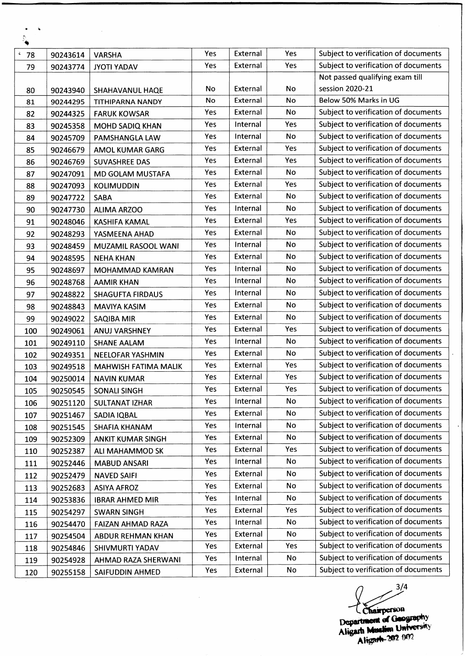| $\mathbb{R}_{\blacklozenge}$ |          |                          |     |          |           |                                      |
|------------------------------|----------|--------------------------|-----|----------|-----------|--------------------------------------|
| š,<br>78                     | 90243614 | <b>VARSHA</b>            | Yes | External | Yes       | Subject to verification of documents |
| 79                           | 90243774 | <b>JYOTI YADAV</b>       | Yes | External | Yes       | Subject to verification of documents |
|                              |          |                          |     |          |           | Not passed qualifying exam till      |
| 80                           | 90243940 | SHAHAVANUL HAQE          | No  | External | No        | session 2020-21                      |
| 81                           | 90244295 | <b>TITHIPARNA NANDY</b>  | No  | External | No        | Below 50% Marks in UG                |
| 82                           | 90244325 | <b>FARUK KOWSAR</b>      | Yes | External | No        | Subject to verification of documents |
| 83                           | 90245358 | <b>MOHD SADIQ KHAN</b>   | Yes | Internal | Yes       | Subject to verification of documents |
| 84                           | 90245709 | PAMSHANGLA LAW           | Yes | Internal | No        | Subject to verification of documents |
| 85                           | 90246679 | <b>AMOL KUMAR GARG</b>   | Yes | External | Yes       | Subject to verification of documents |
| 86                           | 90246769 | <b>SUVASHREE DAS</b>     | Yes | External | Yes       | Subject to verification of documents |
| 87                           | 90247091 | MD GOLAM MUSTAFA         | Yes | External | No        | Subject to verification of documents |
| 88                           | 90247093 | <b>KOLIMUDDIN</b>        | Yes | External | Yes       | Subject to verification of documents |
| 89                           | 90247722 | SABA                     | Yes | External | No        | Subject to verification of documents |
| 90                           | 90247730 | <b>ALIMA ARZOO</b>       | Yes | Internal | No        | Subject to verification of documents |
| 91                           | 90248046 | <b>KASHIFA KAMAL</b>     | Yes | External | Yes       | Subject to verification of documents |
| 92                           | 90248293 | YASMEENA AHAD            | Yes | External | No        | Subject to verification of documents |
| 93                           | 90248459 | MUZAMIL RASOOL WANI      | Yes | Internal | No        | Subject to verification of documents |
| 94                           | 90248595 | <b>NEHA KHAN</b>         | Yes | External | No        | Subject to verification of documents |
| 95                           | 90248697 | <b>MOHAMMAD KAMRAN</b>   | Yes | Internal | No        | Subject to verification of documents |
| 96                           | 90248768 | <b>AAMIR KHAN</b>        | Yes | Internal | No        | Subject to verification of documents |
| 97                           | 90248822 | <b>SHAGUFTA FIRDAUS</b>  | Yes | Internal | No        | Subject to verification of documents |
| 98                           | 90248843 | <b>MAVIYA KASIM</b>      | Yes | External | <b>No</b> | Subject to verification of documents |
| 99                           | 90249022 | <b>SAQIBA MIR</b>        | Yes | External | No        | Subject to verification of documents |
| 100                          | 90249061 | ANUJ VARSHNEY            | Yes | External | Yes       | Subject to verification of documents |
| 101                          | 90249110 | <b>SHANE AALAM</b>       | Yes | Internal | No        | Subject to verification of documents |
| 102                          | 90249351 | <b>NEELOFAR YASHMIN</b>  | Yes | External | No        | Subject to verification of documents |
| 103                          | 90249518 | MAHWISH FATIMA MALIK     | Yes | External | Yes       | Subject to verification of documents |
| 104                          | 90250014 | <b>NAVIN KUMAR</b>       | Yes | External | Yes       | Subject to verification of documents |
| 105                          | 90250545 | SONALI SINGH             | Yes | External | Yes       | Subject to verification of documents |
| 106                          | 90251120 | <b>SULTANAT IZHAR</b>    | Yes | Internal | No        | Subject to verification of documents |
| 107                          | 90251467 | <b>SADIA IQBAL</b>       | Yes | External | No        | Subject to verification of documents |
| 108                          | 90251545 | SHAFIA KHANAM            | Yes | Internal | No        | Subject to verification of documents |
| 109                          | 90252309 | <b>ANKIT KUMAR SINGH</b> | Yes | External | No        | Subject to verification of documents |
| 110                          | 90252387 | ALI MAHAMMOD SK          | Yes | External | Yes       | Subject to verification of documents |
| 111                          | 90252446 | <b>MABUD ANSARI</b>      | Yes | Internal | No        | Subject to verification of documents |
| 112                          | 90252479 | <b>NAVED SAIFI</b>       | Yes | External | No        | Subject to verification of documents |
| 113                          | 90252683 | <b>ASIYA AFROZ</b>       | Yes | External | No        | Subject to verification of documents |
| 114                          | 90253836 | <b>IBRAR AHMED MIR</b>   | Yes | Internal | No        | Subject to verification of documents |
| 115                          | 90254297 | <b>SWARN SINGH</b>       | Yes | External | Yes       | Subject to verification of documents |
| 116                          | 90254470 | FAIZAN AHMAD RAZA        | Yes | Internal | No        | Subject to verification of documents |
| 117                          | 90254504 | ABDUR REHMAN KHAN        | Yes | External | No        | Subject to verification of documents |
| 118                          | 90254846 | SHIVMURTI YADAV          | Yes | External | Yes       | Subject to verification of documents |
| 119                          | 90254928 | AHMAD RAZA SHERWANI      | Yes | Internal | No        | Subject to verification of documents |
| 120                          | 90255158 | SAIFUDDIN AHMED          | Yes | External | No        | Subject to verification of documents |

 $\ddot{\phantom{1}}$  $\hat{\mathbf{v}}$ 

3/4 ( T ╭

 $\overline{\phantom{a}}$ 

Theirperson<br>Department of Geography<br>Aligard Muslim University<br>Aligard 202 002